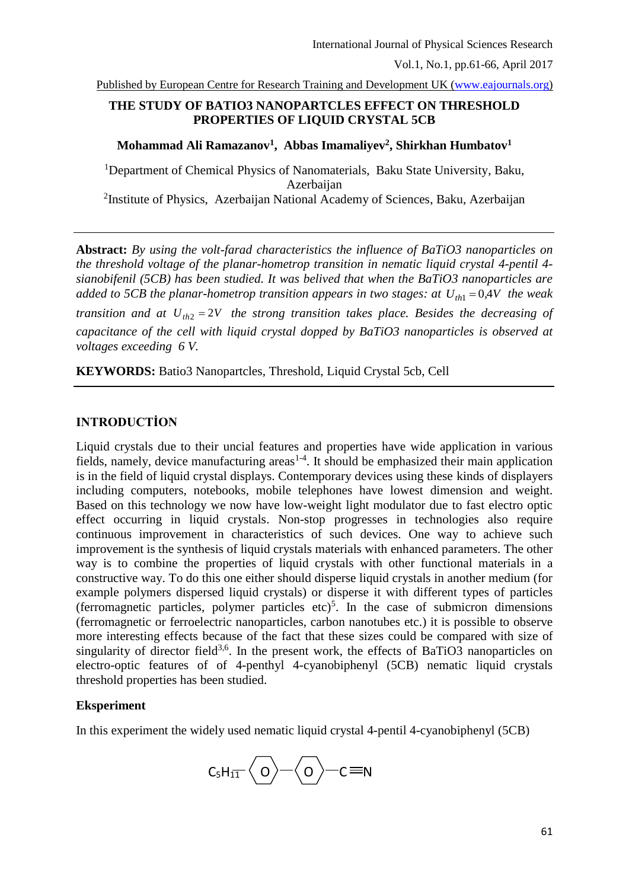Published by European Centre for Research Training and Development UK [\(www.eajournals.org\)](http://www.eajournals.org/)

## **THE STUDY OF BATIO3 NANOPARTCLES EFFECT ON THRESHOLD PROPERTIES OF LIQUID CRYSTAL 5CB**

**Mohammad Ali Ramazanov<sup>1</sup> , Abbas Imamaliyev<sup>2</sup> , Shirkhan Humbatov<sup>1</sup>**

<sup>1</sup>Department of Chemical Physics of Nanomaterials, Baku State University, Baku, Azerbaijan <sup>2</sup>Institute of Physics, Azerbaijan National Academy of Sciences, Baku, Azerbaijan

**Abstract:** *By using the volt-farad characteristics the influence of BaTiO3 nanoparticles on the threshold voltage of the planar-hometrop transition in nematic liquid crystal 4-pentil 4 sianobifenil (5CB) has been studied. It was belived that when the BaTiO3 nanoparticles are added to 5CB the planar-hometrop transition appears in two stages: at*  $U_{th1} = 0.4V$  the weak *transition and at Uth*<sup>2</sup> 2*V the strong transition takes place. Besides the decreasing of capacitance of the cell with liquid crystal dopped by BaTiO3 nanoparticles is observed at voltages exceeding 6 V.*

**KEYWORDS:** Batio3 Nanopartcles, Threshold, Liquid Crystal 5cb, Cell

# **INTRODUCTİON**

Liquid crystals due to their uncial features and properties have wide application in various fields, namely, device manufacturing areas<sup> $1-4$ </sup>. It should be emphasized their main application is in the field of liquid crystal displays. Contemporary devices using these kinds of displayers including computers, notebooks, mobile telephones have lowest dimension and weight. Based on this technology we now have low-weight light modulator due to fast electro optic effect occurring in liquid crystals. Non-stop progresses in technologies also require continuous improvement in characteristics of such devices. One way to achieve such improvement is the synthesis of liquid crystals materials with enhanced parameters. The other way is to combine the properties of liquid crystals with other functional materials in a constructive way. To do this one either should disperse liquid crystals in another medium (for example polymers dispersed liquid crystals) or disperse it with different types of particles (ferromagnetic particles, polymer particles etc)<sup>5</sup>. In the case of submicron dimensions (ferromagnetic or ferroelectric nanoparticles, carbon nanotubes etc.) it is possible to observe more interesting effects because of the fact that these sizes could be compared with size of singularity of director field<sup>3,6</sup>. In the present work, the effects of BaTiO3 nanoparticles on electro-optic features of of 4-penthyl 4-cyanobiphenyl (5CB) nematic liquid crystals threshold properties has been studied.

#### **Eksperiment**

In this experiment the widely used nematic liquid crystal 4-pentil 4-cyanobiphenyl (5CB)

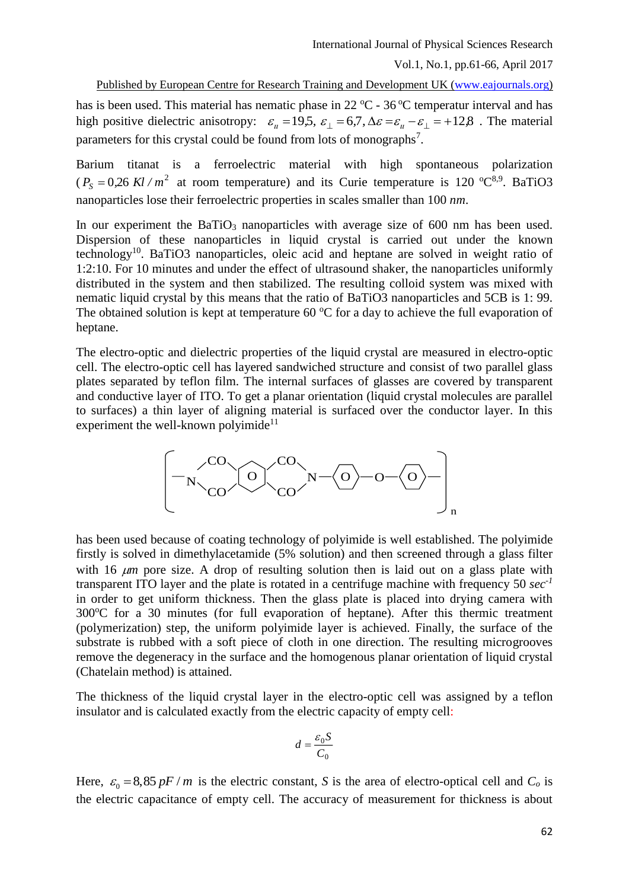Published by European Centre for Research Training and Development UK [\(www.eajournals.org\)](http://www.eajournals.org/)

has is been used. This material has nematic phase in  $22 \degree C$  -  $36 \degree C$  temperatur interval and has high positive dielectric anisotropy:  $\varepsilon_n = 19.5$ ,  $\varepsilon_1 = 6.7$ ,  $\Delta \varepsilon = \varepsilon_n - \varepsilon_1 = +12.8$ . The material parameters for this crystal could be found from lots of monographs<sup>7</sup>.

Barium titanat is a ferroelectric material with high spontaneous polarization  $(P<sub>S</sub> = 0.26 \text{ Kl } / m<sup>2</sup>$  at room temperature) and its Curie temperature is 120 °C<sup>8,9</sup>. BaTiO3 nanoparticles lose their ferroelectric properties in scales smaller than 100 *nm*.

In our experiment the BaTiO<sub>3</sub> nanoparticles with average size of  $600$  nm has been used. Dispersion of these nanoparticles in liquid crystal is carried out under the known technology<sup>10</sup>. BaTiO3 nanoparticles, oleic acid and heptane are solved in weight ratio of 1:2:10. For 10 minutes and under the effect of ultrasound shaker, the nanoparticles uniformly distributed in the system and then stabilized. The resulting colloid system was mixed with nematic liquid crystal by this means that the ratio of BaTiO3 nanoparticles and 5CB is 1: 99. The obtained solution is kept at temperature 60  $\degree$ C for a day to achieve the full evaporation of heptane.

The electro-optic and dielectric properties of the liquid crystal are measured in electro-optic cell. The electro-optic cell has layered sandwiched structure and consist of two parallel glass plates separated by teflon film. The internal surfaces of glasses are covered by transparent and conductive layer of ITO. To get a planar orientation (liquid crystal molecules are parallel to surfaces) a thin layer of aligning material is surfaced over the conductor layer. In this experiment the well-known polyimide<sup>11</sup>



has been used because of coating technology of polyimide is well established. The polyimide firstly is solved in dimethylacetamide (5% solution) and then screened through a glass filter with 16  $\mu$ m pore size. A drop of resulting solution then is laid out on a glass plate with transparent ITO layer and the plate is rotated in a centrifuge machine with frequency 50 *sec-1* in order to get uniform thickness. Then the glass plate is placed into drying camera with  $300^{\circ}$ C for a 30 minutes (for full evaporation of heptane). After this thermic treatment (polymerization) step, the uniform polyimide layer is achieved. Finally, the surface of the substrate is rubbed with a soft piece of cloth in one direction. The resulting microgrooves remove the degeneracy in the surface and the homogenous planar orientation of liquid crystal (Chatelain method) is attained.

The thickness of the liquid crystal layer in the electro-optic cell was assigned by a teflon insulator and is calculated exactly from the electric capacity of empty cell:

$$
d = \frac{\varepsilon_0 S}{C_0}
$$

Here,  $\varepsilon_0 = 8,85 \text{ pF} / m$  is the electric constant, *S* is the area of electro-optical cell and  $C_o$  is the electric capacitance of empty cell. The accuracy of measurement for thickness is about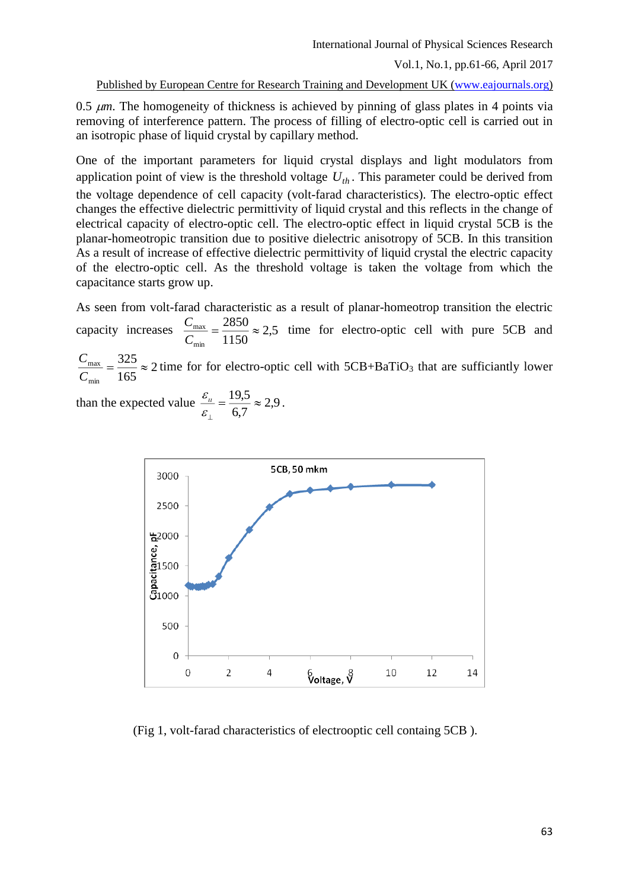Published by European Centre for Research Training and Development UK [\(www.eajournals.org\)](http://www.eajournals.org/)

0.5  $\mu$ m. The homogeneity of thickness is achieved by pinning of glass plates in 4 points via removing of interference pattern. The process of filling of electro-optic cell is carried out in an isotropic phase of liquid crystal by capillary method.

One of the important parameters for liquid crystal displays and light modulators from application point of view is the threshold voltage  $U_{th}$ . This parameter could be derived from the voltage dependence of cell capacity (volt-farad characteristics). The electro-optic effect changes the effective dielectric permittivity of liquid crystal and this reflects in the change of electrical capacity of electro-optic cell. The electro-optic effect in liquid crystal 5CB is the planar-homeotropic transition due to positive dielectric anisotropy of 5CB. In this transition As a result of increase of effective dielectric permittivity of liquid crystal the electric capacity of the electro-optic cell. As the threshold voltage is taken the voltage from which the capacitance starts grow up.

As seen from volt-farad characteristic as a result of planar-homeotrop transition the electric capacity increases  $\frac{C_{\text{max}}}{C_{\text{min}}} = \frac{2650}{1150} \approx 2.5$ 2850 min  $\frac{v_{\text{max}}}{C_{\text{min}}} = \frac{2.08 \text{ m}}{1150} \approx$  $\frac{C_{\text{max}}}{C_{\text{max}}} = \frac{2850}{1150} \approx 2.5$  time for electro-optic cell with pure 5CB and 325

2 165 min  $\frac{v_{\text{max}}}{C_{\text{min}}} = \frac{2.26}{165} \approx$  $\frac{C_{\text{max}}}{C} = \frac{325}{165} \approx 2$  time for for electro-optic cell with 5CB+BaTiO<sub>3</sub> that are sufficiantly lower

than the expected value  $\frac{v_u}{v} = \frac{1}{1.5} \approx 2.9$ 6,7  $=\frac{19,5}{\infty}$  $\varepsilon_{_\perp}$  $\frac{\varepsilon_{u}}{2} = \frac{19,5}{15} \approx 2.9$ .



(Fig 1, volt-farad characteristics of electrooptic cell containg 5CB ).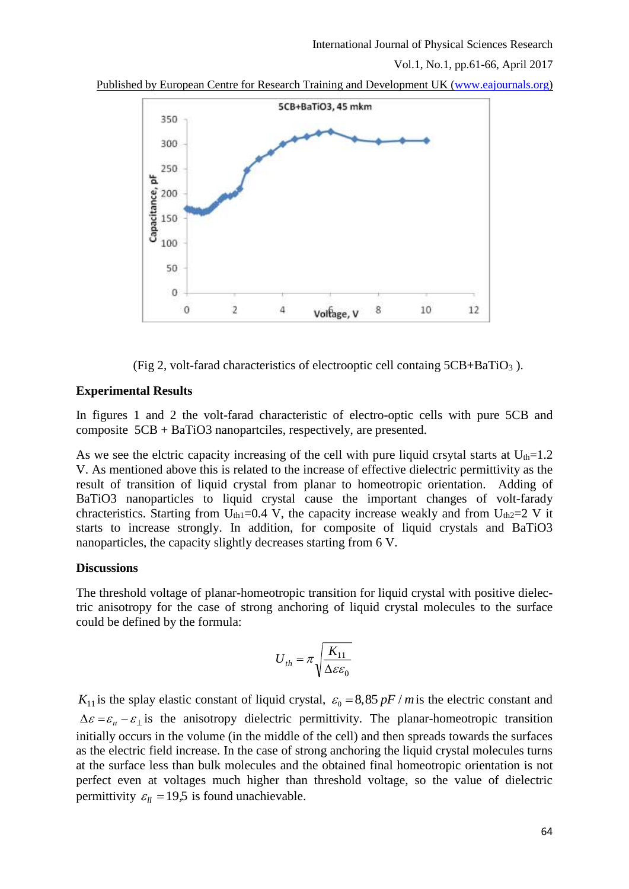Published by European Centre for Research Training and Development UK [\(www.eajournals.org\)](http://www.eajournals.org/)



(Fig 2, volt-farad characteristics of electrooptic cell containg  $5CB + BaTiO<sub>3</sub>$ ).

### **Experimental Results**

In figures 1 and 2 the volt-farad characteristic of electro-optic cells with pure 5CB and composite 5CB + BaTiO3 nanopartciles, respectively, are presented.

As we see the elctric capacity increasing of the cell with pure liquid crsytal starts at  $U_{th}=1.2$ V. As mentioned above this is related to the increase of effective dielectric permittivity as the result of transition of liquid crystal from planar to homeotropic orientation. Adding of BaTiO3 nanoparticles to liquid crystal cause the important changes of volt-farady chracteristics. Starting from U<sub>th1</sub>=0.4 V, the capacity increase weakly and from U<sub>th2</sub>=2 V it starts to increase strongly. In addition, for composite of liquid crystals and BaTiO3 nanoparticles, the capacity slightly decreases starting from 6 V.

### **Discussions**

The threshold voltage of planar-homeotropic transition for liquid crystal with positive dielectric anisotropy for the case of strong anchoring of liquid crystal molecules to the surface could be defined by the formula:

$$
U_{th} = \pi \sqrt{\frac{K_{11}}{\Delta \varepsilon \varepsilon_0}}
$$

 $K_{11}$  is the splay elastic constant of liquid crystal,  $\varepsilon_0 = 8,85 \ pF$  *m* is the electric constant and  $\Delta \varepsilon = \varepsilon_u - \varepsilon_{\perp}$  is the anisotropy dielectric permittivity. The planar-homeotropic transition initially occurs in the volume (in the middle of the cell) and then spreads towards the surfaces as the electric field increase. In the case of strong anchoring the liquid crystal molecules turns at the surface less than bulk molecules and the obtained final homeotropic orientation is not perfect even at voltages much higher than threshold voltage, so the value of dielectric permittivity  $\varepsilon_{ll} = 19.5$  is found unachievable.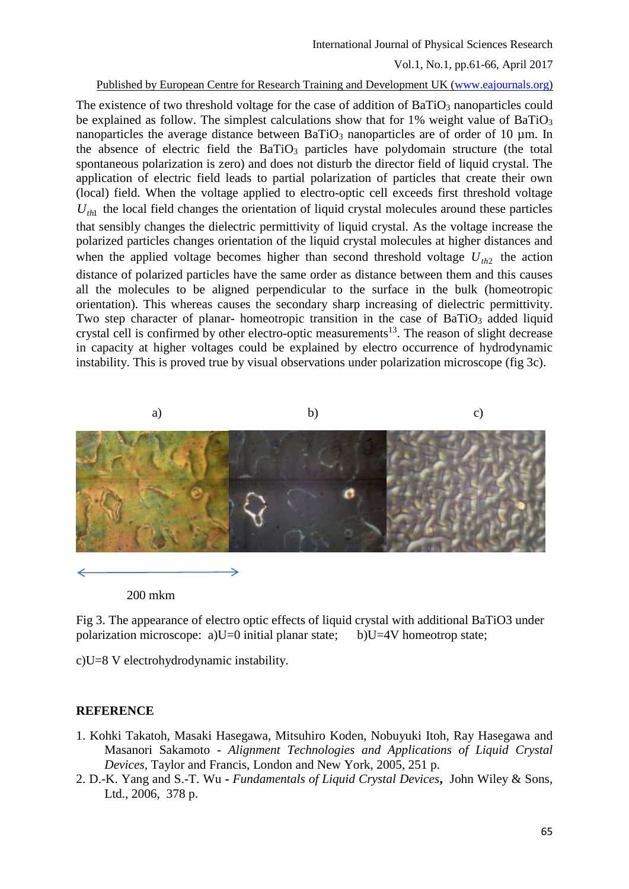#### Published by European Centre for Research Training and Development UK [\(www.eajournals.org\)](http://www.eajournals.org/)

The existence of two threshold voltage for the case of addition of BaTiO<sub>3</sub> nanoparticles could be explained as follow. The simplest calculations show that for  $1\%$  weight value of BaTiO<sub>3</sub> nanoparticles the average distance between  $BaTiO<sub>3</sub>$  nanoparticles are of order of 10 µm. In the absence of electric field the  $BaTiO<sub>3</sub>$  particles have polydomain structure (the total spontaneous polarization is zero) and does not disturb the director field of liquid crystal. The application of electric field leads to partial polarization of particles that create their own (local) field. When the voltage applied to electro-optic cell exceeds first threshold voltage  $U_{th}$  the local field changes the orientation of liquid crystal molecules around these particles that sensibly changes the dielectric permittivity of liquid crystal. As the voltage increase the polarized particles changes orientation of the liquid crystal molecules at higher distances and when the applied voltage becomes higher than second threshold voltage  $U_{th2}$  the action distance of polarized particles have the same order as distance between them and this causes all the molecules to be aligned perpendicular to the surface in the bulk (homeotropic orientation). This whereas causes the secondary sharp increasing of dielectric permittivity. Two step character of planar- homeotropic transition in the case of  $BaTiO<sub>3</sub>$  added liquid crystal cell is confirmed by other electro-optic measurements<sup>13</sup>. The reason of slight decrease in capacity at higher voltages could be explained by electro occurrence of hydrodynamic instability. This is proved true by visual observations under polarization microscope (fig 3c).



200 mkm

Fig 3. The appearance of electro optic effects of liquid crystal with additional BaTiO3 under polarization microscope: a)U=0 initial planar state; b)U=4V homeotrop state;

c)U=8 V electrohydrodynamic instability.

## **REFERENCE**

- 1. Kohki Takatoh, Masaki Hasegawa, Mitsuhiro Koden, Nobuyuki Itoh, Ray Hasegawa and Masanori Sakamoto - *Alignment Technologies and Applications of Liquid Crystal Devices,* Taylor and Francis, London and New York, 2005, 251 p.
- 2. D.-K. Yang and S.-T. Wu **-** *Fundamentals of Liquid Crystal Devices***,** John Wiley & Sons, Ltd., 2006, 378 p.